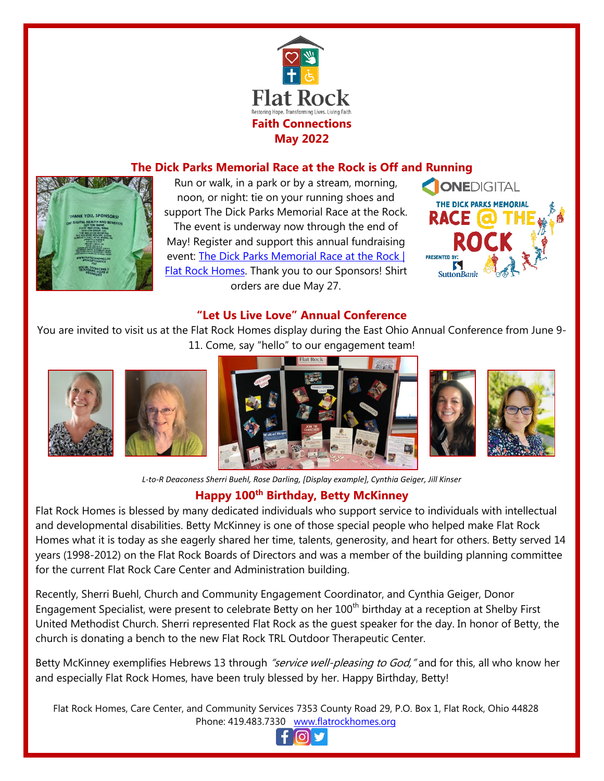

## **The Dick Parks Memorial Race at the Rock is Off and Running**



Run or walk, in a park or by a stream, morning, noon, or night: tie on your running shoes and support The Dick Parks Memorial Race at the Rock. The event is underway now through the end of May! Register and support this annual fundraising event: [The Dick Parks Memorial Race at the Rock |](https://www.flatrockhomes.org/events/race-at-the-rock/)  [Flat Rock Homes.](https://www.flatrockhomes.org/events/race-at-the-rock/) Thank you to our Sponsors! Shirt orders are due May 27.



#### **"Let Us Live Love" Annual Conference**

You are invited to visit us at the Flat Rock Homes display during the East Ohio Annual Conference from June 9- 11. Come, say "hello" to our engagement team!









*L-to-R Deaconess Sherri Buehl, Rose Darling, [Display example], Cynthia Geiger, Jill Kinser*

# **Happy 100th Birthday, Betty McKinney**

Flat Rock Homes is blessed by many dedicated individuals who support service to individuals with intellectual and developmental disabilities. Betty McKinney is one of those special people who helped make Flat Rock Homes what it is today as she eagerly shared her time, talents, generosity, and heart for others. Betty served 14 years (1998-2012) on the Flat Rock Boards of Directors and was a member of the building planning committee for the current Flat Rock Care Center and Administration building.

Recently, Sherri Buehl, Church and Community Engagement Coordinator, and Cynthia Geiger, Donor Engagement Specialist, were present to celebrate Betty on her 100<sup>th</sup> birthday at a reception at Shelby First United Methodist Church. Sherri represented Flat Rock as the guest speaker for the day. In honor of Betty, the church is donating a bench to the new Flat Rock TRL Outdoor Therapeutic Center.

Betty McKinney exemplifies Hebrews 13 through *"service well-pleasing to God*," and for this, all who know her and especially Flat Rock Homes, have been truly blessed by her. Happy Birthday, Betty!

Flat Rock Homes, Care Center, and Community Services 7353 County Road 29, P.O. Box 1, Flat Rock, Ohio 44828 Phone: 419.483.7330 [www.flatrockhomes.org](http://www.flatrockhomes.org/)